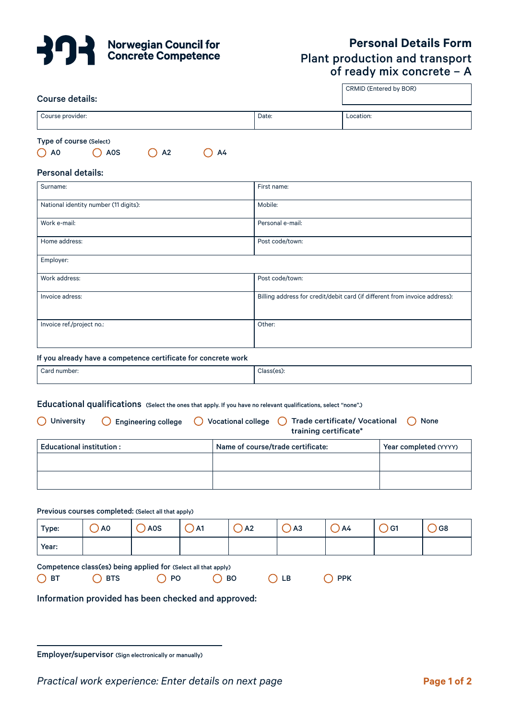

# **Personal Details Form** Plant production and transport of ready mix concrete – A

CRMID (Entered by BOR)

## Course details:

| Course provider:        |                  |                |    | Date: | Location: |  |
|-------------------------|------------------|----------------|----|-------|-----------|--|
|                         |                  |                |    |       |           |  |
|                         |                  |                |    |       |           |  |
|                         |                  |                |    |       |           |  |
| Type of course (Select) |                  |                |    |       |           |  |
|                         |                  |                |    |       |           |  |
| A0                      | A <sub>0</sub> S | A <sub>2</sub> | A4 |       |           |  |

| , , ru |  |  |
|--------|--|--|
|        |  |  |

## Personal details:

| Surname:                              | First name:                                                                |
|---------------------------------------|----------------------------------------------------------------------------|
| National identity number (11 digits): | Mobile:                                                                    |
| Work e-mail:                          | Personal e-mail:                                                           |
| Home address:                         | Post code/town:                                                            |
| Employer:                             |                                                                            |
| Work address:                         | Post code/town:                                                            |
| Invoice adress:                       | Billing address for credit/debit card (if different from invoice address): |
| Invoice ref./project no.:             | Other:                                                                     |

#### If you already have a competence certificate for concrete work

| ` Card number: | Class(es) |
|----------------|-----------|
|                |           |

# Educational qualifications (Select the ones that apply. If you have no relevant qualifications, select "none".)

| $\bigcap$ University     | $\bigcirc$ Engineering college | $\bigcirc$ Vocational college $\bigcirc$ Trade certificate/ Vocational<br>( ) None<br>training certificate* |  |  |  |  |
|--------------------------|--------------------------------|-------------------------------------------------------------------------------------------------------------|--|--|--|--|
| Educational institution: |                                | Name of course/trade certificate:                                                                           |  |  |  |  |
|                          |                                |                                                                                                             |  |  |  |  |
|                          |                                |                                                                                                             |  |  |  |  |

|              | Previous courses completed: (Select all that apply)            |                |         |               |       |               |                |             |        |
|--------------|----------------------------------------------------------------|----------------|---------|---------------|-------|---------------|----------------|-------------|--------|
| Type:        | $\lambda$ AO                                                   | $\bigcirc$ AOS | $()$ A1 | $\bigcirc$ A2 |       | $\bigcirc$ A3 | ()A4           | <b>D</b> G1 | $)$ G8 |
| Year:        |                                                                |                |         |               |       |               |                |             |        |
|              | Competence class(es) being applied for (Select all that apply) |                |         |               |       |               |                |             |        |
| $\bigcap$ BT | $\bigcap$ BTS                                                  | $\bigcirc$ PO  |         | $\bigcirc$ BO | () LB |               | $\bigcirc$ PPK |             |        |
|              | Information provided has been checked and approved.            |                |         |               |       |               |                |             |        |

Information provided has been checked and approved:

Employer/supervisor (Sign electronically or manually)